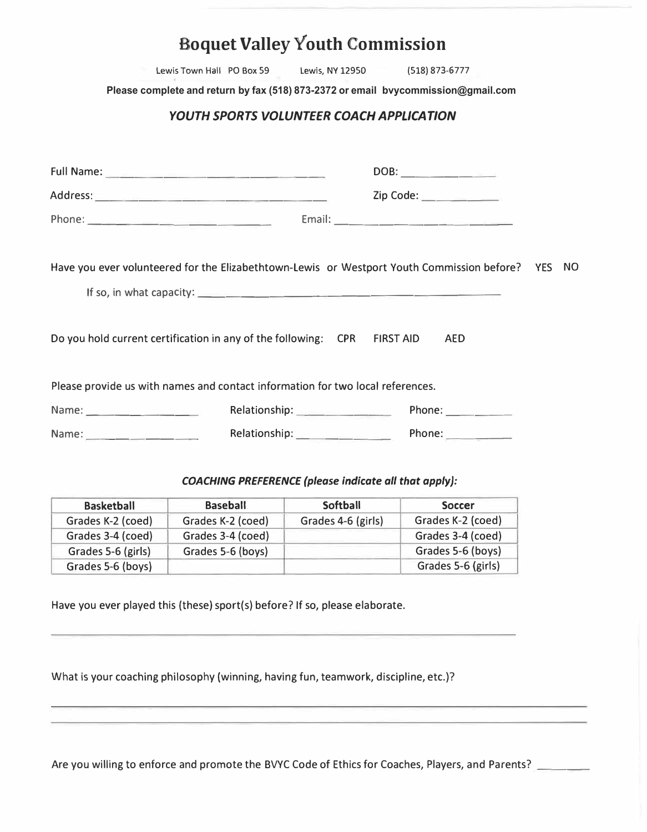|  |  | <b>Boquet Valley Youth Commission</b> |
|--|--|---------------------------------------|
|--|--|---------------------------------------|

Lewis Town Hall PO Box 59 Lewis, NY 12950 (518) 873-6777

**Please complete and return by fax (518) 873-2372 or email bvycommission@gmail.com**

## *YOUTH SPORTS VOLUNTEER COACH APPL/CATION*

|                                                                                |                    | DOB:                                                                                              |
|--------------------------------------------------------------------------------|--------------------|---------------------------------------------------------------------------------------------------|
|                                                                                |                    | Zip Code:                                                                                         |
|                                                                                |                    |                                                                                                   |
|                                                                                |                    | Have you ever volunteered for the Elizabethtown-Lewis or Westport Youth Commission before? YES NO |
|                                                                                |                    |                                                                                                   |
| Do you hold current certification in any of the following: CPR FIRST AID       |                    | AED                                                                                               |
| Please provide us with names and contact information for two local references. |                    |                                                                                                   |
|                                                                                | Relationship: 2000 | Phone: $\qquad \qquad$                                                                            |
|                                                                                |                    | Phone:                                                                                            |

## *COACHING PREFERENCE (please indicate all that apply):*

| <b>Basketball</b>  | <b>Baseball</b>   | <b>Softball</b>    | <b>Soccer</b>      |
|--------------------|-------------------|--------------------|--------------------|
| Grades K-2 (coed)  | Grades K-2 (coed) | Grades 4-6 (girls) | Grades K-2 (coed)  |
| Grades 3-4 (coed)  | Grades 3-4 (coed) |                    | Grades 3-4 (coed)  |
| Grades 5-6 (girls) | Grades 5-6 (boys) |                    | Grades 5-6 (boys)  |
| Grades 5-6 (boys)  |                   |                    | Grades 5-6 (girls) |

Have you ever played this (these} sport(s} before? If so, please elaborate.

What is your coaching philosophy (winning, having fun, teamwork, discipline, etc.)?

Are you willing to enforce and promote the BVYC Code of Ethics for Coaches, Players, and Parents?